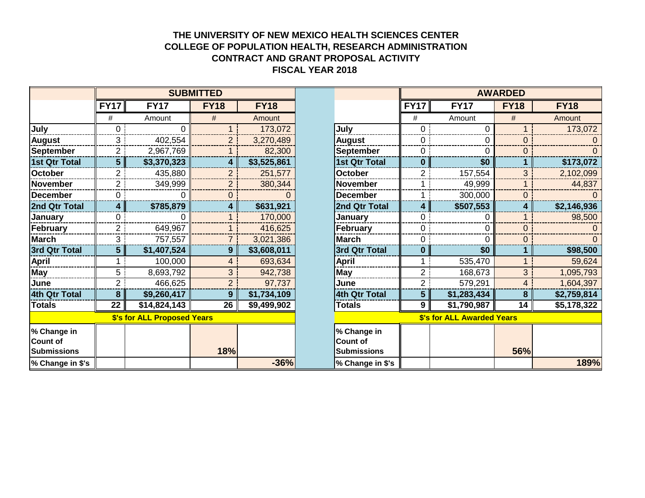## **THE UNIVERSITY OF NEW MEXICO HEALTH SCIENCES CENTER COLLEGE OF POPULATION HEALTH, RESEARCH ADMINISTRATION CONTRACT AND GRANT PROPOSAL ACTIVITY FISCAL YEAR 2018**

|                                        | <b>SUBMITTED</b>        |              |                |             |                                                      | <b>AWARDED</b>             |             |             |             |
|----------------------------------------|-------------------------|--------------|----------------|-------------|------------------------------------------------------|----------------------------|-------------|-------------|-------------|
|                                        | <b>FY17</b>             | <b>FY17</b>  | <b>FY18</b>    | <b>FY18</b> |                                                      | <b>FY17</b>                | <b>FY17</b> | <b>FY18</b> | <b>FY18</b> |
|                                        | #                       | Amount       | #              | Amount      |                                                      | #                          | Amount      | #           | Amount      |
| July                                   | 0                       | ∩            |                | 173,072     | July                                                 | 0                          |             |             | 173,072     |
| <b>August</b>                          | 3                       | 402,554      | $\overline{2}$ | 3,270,489   | <b>August</b>                                        | 0                          | 0           | 0           |             |
| September                              | 2                       | 2,967,769    |                | 82,300      | <b>September</b>                                     | 0                          | U           | 0           |             |
| 1st Qtr Total                          | 5                       | \$3,370,323  | 4              | \$3,525,861 | <b>1st Qtr Total</b>                                 | $\bf{0}$                   | \$0         |             | \$173,072   |
| October                                | 2.                      | 435,880      | $\overline{2}$ | 251,577     | <b>October</b>                                       | 2                          | 157,554     | 3           | 2,102,099   |
| November                               | $\overline{2}$          | 349,999      | $\overline{2}$ | 380,344     | <b>November</b>                                      |                            | 49,999      |             | 44,837      |
| December                               | 0                       | 0            | $\mathbf 0$    |             | <b>December</b>                                      |                            | 300,000     | 0           |             |
| 2nd Qtr Total                          | $\overline{\mathbf{4}}$ | \$785,879    | 4              | \$631,921   | 2nd Qtr Total                                        | 4                          | \$507,553   | 4           | \$2,146,936 |
| <b>January</b>                         | $\Omega$                | 0            |                | 170,000     | <b>January</b>                                       | 0                          |             |             | 98,500      |
| February                               | $\overline{2}$          | 649,967      | $\mathbf 1$    | 416,625     | February                                             | $\mathbf 0$                | 0           | 0           |             |
| March                                  | 3                       | 757,557      | $\overline{7}$ | 3,021,386   | <b>March</b>                                         | 0                          | 0           | 0           |             |
| 3rd Qtr Total                          | 5 <sup>5</sup>          | \$1,407,524  | 9              | \$3,608,011 | 3rd Qtr Total                                        | $\mathbf{0}$               | \$0         |             | \$98,500    |
| <b>April</b>                           |                         | 100,000      | 4              | 693,634     | <b>April</b>                                         |                            | 535,470     |             | 59,624      |
| May                                    | 5                       | 8,693,792    | 3              | 942,738     | May                                                  | $\overline{2}$             | 168,673     | 3           | 1,095,793   |
| June                                   | $\overline{2}$          | 466,625      | $\overline{2}$ | 97,737      | June                                                 | $\overline{2}$             | 579,291     | 4           | 1,604,397   |
| 4th Qtr Total                          | 8                       | \$9,260,417  | $9\phantom{.}$ | \$1,734,109 | 4th Qtr Total                                        | 5                          | \$1,283,434 | 8           | \$2,759,814 |
| <b>Totals</b>                          | 22                      | \$14,824,143 | 26             | \$9,499,902 | <b>Totals</b>                                        | 9                          | \$1,790,987 | 14          | \$5,178,322 |
| \$'s for ALL Proposed Years            |                         |              |                |             |                                                      | \$'s for ALL Awarded Years |             |             |             |
| % Change in<br>Count of<br>Submissions |                         |              | 18%            |             | % Change in<br><b>Count of</b><br><b>Submissions</b> |                            |             | 56%         |             |
| % Change in \$'s                       |                         |              |                | $-36%$      | % Change in \$'s                                     |                            |             |             | 189%        |

| <b>SUBMITTED</b>            |              |                |             |                                                      | <b>AWARDED</b>                    |             |             |             |
|-----------------------------|--------------|----------------|-------------|------------------------------------------------------|-----------------------------------|-------------|-------------|-------------|
| 717                         | <b>FY17</b>  | <b>FY18</b>    | <b>FY18</b> |                                                      | <b>FY17</b>                       | <b>FY17</b> | <b>FY18</b> | <b>FY18</b> |
| #                           | Amount       | #              | Amount      |                                                      | $\#$                              | Amount      |             | Amount      |
| $\overline{0}$              | 0            |                | 173,072     | July                                                 | 0                                 | 0           |             | 173,072     |
| 3                           | 402,554      | $\overline{2}$ | 3,270,489   | <b>August</b>                                        | 0                                 | 0           | 0           |             |
| 2                           | 2,967,769    |                | 82,300      | <b>September</b>                                     | 0                                 | 0           | O           |             |
| $5\phantom{.0}$             | \$3,370,323  | 4              | \$3,525,861 | <b>1st Qtr Total</b>                                 | $\bf{0}$                          | \$0         |             | \$173,072   |
| $\overline{2}$              | 435,880      | $\overline{2}$ | 251,577     | <b>October</b>                                       | 2                                 | 157,554     | 3           | 2,102,099   |
| 2                           | 349,999      | $\overline{2}$ | 380,344     | <b>November</b>                                      |                                   | 49,999      |             | 44,837      |
| 0                           | 0            | 0              |             | <b>December</b>                                      |                                   | 300,000     | 0           |             |
| 4                           | \$785,879    | 4              | \$631,921   | 2nd Qtr Total                                        | 4                                 | \$507,553   | 4           | \$2,146,936 |
| 0                           | 0            |                | 170,000     | January                                              | 0                                 | 0           |             | 98,500      |
| 2                           | 649,967      |                | 416,625     | February                                             | 0                                 | 0           | $\Omega$    |             |
| 3                           | 757,557      | 7              | 3,021,386   | <b>March</b>                                         | 0                                 | 0           | 0           |             |
| 5                           | \$1,407,524  | 9              | \$3,608,011 | 3rd Qtr Total                                        | $\bf{0}$                          | \$0         |             | \$98,500    |
|                             | 100,000      | 4              | 693,634     | <b>April</b>                                         | 1                                 | 535,470     |             | 59,624      |
| 5                           | 8,693,792    | 3              | 942,738     | <b>May</b>                                           | $\overline{2}$                    | 168,673     | 3           | 1,095,793   |
| $\overline{2}$              | 466,625      | $\overline{2}$ | 97,737      | June                                                 | $\overline{2}$                    | 579,291     | 4           | 1,604,397   |
| 8                           | \$9,260,417  | 9              | \$1,734,109 | 4th Qtr Total                                        | 5                                 | \$1,283,434 | 8           | \$2,759,814 |
| 22                          | \$14,824,143 | 26             | \$9,499,902 | <b>Totals</b>                                        | 9                                 | \$1,790,987 | 14          | \$5,178,322 |
| \$'s for ALL Proposed Years |              |                |             |                                                      | <b>\$'s for ALL Awarded Years</b> |             |             |             |
|                             |              | 18%            |             | % Change in<br><b>Count of</b><br><b>Submissions</b> |                                   |             | 56%         |             |
|                             |              |                | $-36%$      | % Change in \$'s                                     |                                   |             |             | 189%        |